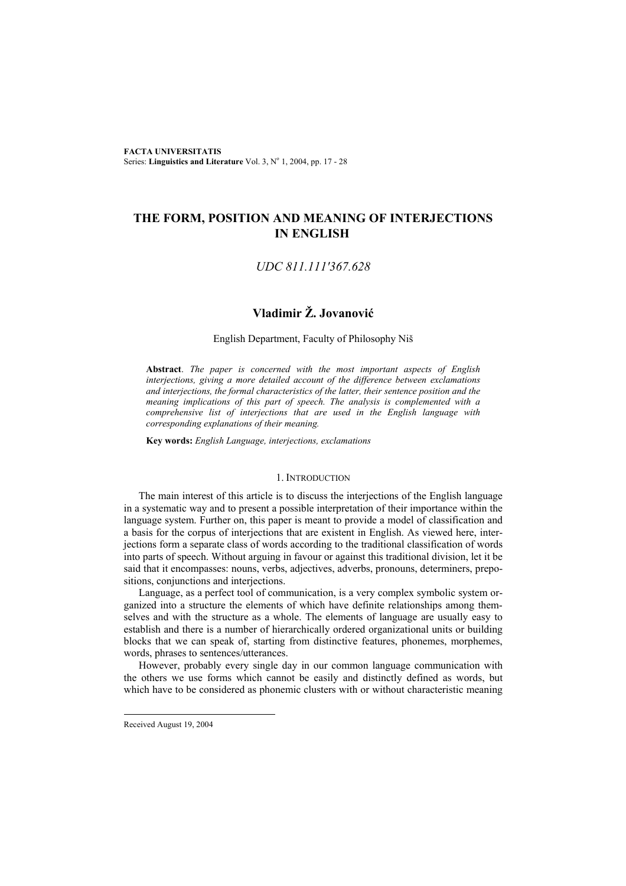**FACTA UNIVERSITATIS** Series: Linguistics and Literature Vol. 3, Nº 1, 2004, pp. 17 - 28

# **THE FORM, POSITION AND MEANING OF INTERJECTIONS IN ENGLISH**

# *UDC 811.111'367.628*

# **Vladimir Ž. Jovanović**

### English Department, Faculty of Philosophy Niš

**Abstract**. *The paper is concerned with the most important aspects of English interjections, giving a more detailed account of the difference between exclamations and interjections, the formal characteristics of the latter, their sentence position and the meaning implications of this part of speech. The analysis is complemented with a comprehensive list of interjections that are used in the English language with corresponding explanations of their meaning.* 

**Key words:** *English Language, interjections, exclamations*

#### 1. INTRODUCTION

The main interest of this article is to discuss the interjections of the English language in a systematic way and to present a possible interpretation of their importance within the language system. Further on, this paper is meant to provide a model of classification and a basis for the corpus of interjections that are existent in English. As viewed here, interjections form a separate class of words according to the traditional classification of words into parts of speech. Without arguing in favour or against this traditional division, let it be said that it encompasses: nouns, verbs, adjectives, adverbs, pronouns, determiners, prepositions, conjunctions and interjections.

Language, as a perfect tool of communication, is a very complex symbolic system organized into a structure the elements of which have definite relationships among themselves and with the structure as a whole. The elements of language are usually easy to establish and there is a number of hierarchically ordered organizational units or building blocks that we can speak of, starting from distinctive features, phonemes, morphemes, words, phrases to sentences/utterances.

However, probably every single day in our common language communication with the others we use forms which cannot be easily and distinctly defined as words, but which have to be considered as phonemic clusters with or without characteristic meaning

Received August 19, 2004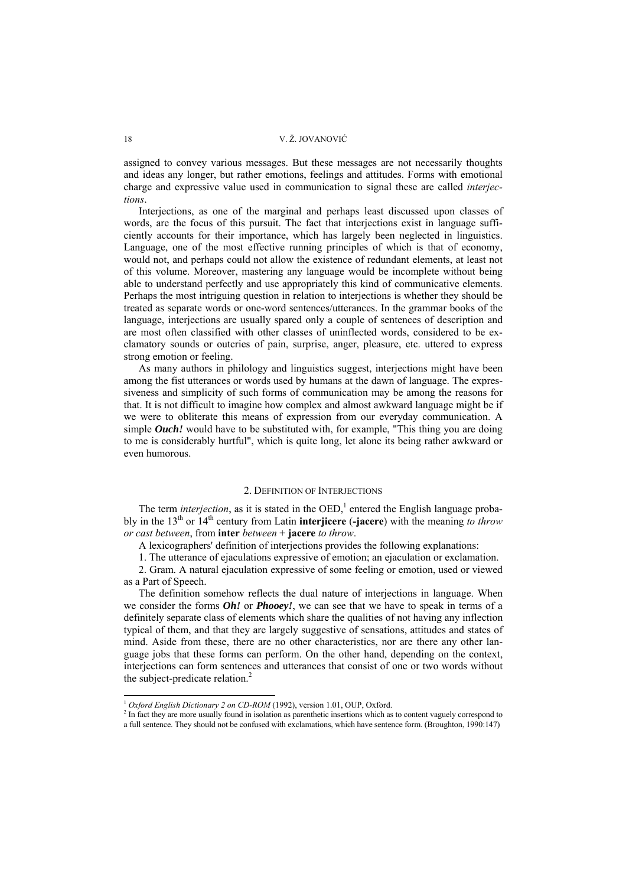assigned to convey various messages. But these messages are not necessarily thoughts and ideas any longer, but rather emotions, feelings and attitudes. Forms with emotional charge and expressive value used in communication to signal these are called *interjections*.

Interjections, as one of the marginal and perhaps least discussed upon classes of words, are the focus of this pursuit. The fact that interjections exist in language sufficiently accounts for their importance, which has largely been neglected in linguistics. Language, one of the most effective running principles of which is that of economy, would not, and perhaps could not allow the existence of redundant elements, at least not of this volume. Moreover, mastering any language would be incomplete without being able to understand perfectly and use appropriately this kind of communicative elements. Perhaps the most intriguing question in relation to interjections is whether they should be treated as separate words or one-word sentences/utterances. In the grammar books of the language, interjections are usually spared only a couple of sentences of description and are most often classified with other classes of uninflected words, considered to be exclamatory sounds or outcries of pain, surprise, anger, pleasure, etc. uttered to express strong emotion or feeling.

As many authors in philology and linguistics suggest, interjections might have been among the fist utterances or words used by humans at the dawn of language. The expressiveness and simplicity of such forms of communication may be among the reasons for that. It is not difficult to imagine how complex and almost awkward language might be if we were to obliterate this means of expression from our everyday communication. A simple *Ouch!* would have to be substituted with, for example, "This thing you are doing to me is considerably hurtful", which is quite long, let alone its being rather awkward or even humorous.

## 2. DEFINITION OF INTERJECTIONS

The term *interjection*, as it is stated in the  $OED$ ,<sup>1</sup> entered the English language probably in the 13th or 14th century from Latin **interjicere** (**-jacere**) with the meaning *to throw or cast between*, from **inter** *between* + **jacere** *to throw*.

A lexicographers' definition of interjections provides the following explanations:

1. The utterance of ejaculations expressive of emotion; an ejaculation or exclamation.

2. Gram. A natural ejaculation expressive of some feeling or emotion, used or viewed as a Part of Speech.

The definition somehow reflects the dual nature of interjections in language. When we consider the forms *Oh!* or *Phooey!*, we can see that we have to speak in terms of a definitely separate class of elements which share the qualities of not having any inflection typical of them, and that they are largely suggestive of sensations, attitudes and states of mind. Aside from these, there are no other characteristics, nor are there any other language jobs that these forms can perform. On the other hand, depending on the context, interjections can form sentences and utterances that consist of one or two words without the subject-predicate relation. $2$ 

<sup>&</sup>lt;sup>1</sup> Oxford English Dictionary 2 on CD-ROM (1992), version 1.01, OUP, Oxford.

<sup>&</sup>lt;sup>2</sup> In fact they are more usually found in isolation as parenthetic insertions which as to content vaguely correspond to

a full sentence. They should not be confused with exclamations, which have sentence form. (Broughton, 1990:147)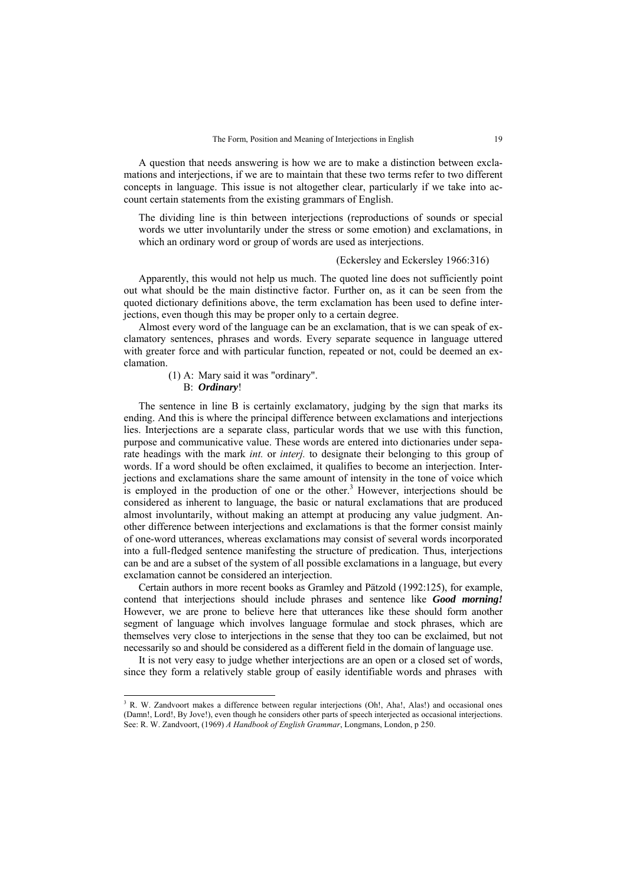A question that needs answering is how we are to make a distinction between exclamations and interjections, if we are to maintain that these two terms refer to two different concepts in language. This issue is not altogether clear, particularly if we take into account certain statements from the existing grammars of English.

The dividing line is thin between interjections (reproductions of sounds or special words we utter involuntarily under the stress or some emotion) and exclamations, in which an ordinary word or group of words are used as interjections.

## (Eckersley and Eckersley 1966:316)

Apparently, this would not help us much. The quoted line does not sufficiently point out what should be the main distinctive factor. Further on, as it can be seen from the quoted dictionary definitions above, the term exclamation has been used to define interjections, even though this may be proper only to a certain degree.

Almost every word of the language can be an exclamation, that is we can speak of exclamatory sentences, phrases and words. Every separate sequence in language uttered with greater force and with particular function, repeated or not, could be deemed an exclamation.

> (1) A: Mary said it was "ordinary". B: *Ordinary*!

l

The sentence in line B is certainly exclamatory, judging by the sign that marks its ending. And this is where the principal difference between exclamations and interjections lies. Interjections are a separate class, particular words that we use with this function, purpose and communicative value. These words are entered into dictionaries under separate headings with the mark *int.* or *interj.* to designate their belonging to this group of words. If a word should be often exclaimed, it qualifies to become an interjection. Interjections and exclamations share the same amount of intensity in the tone of voice which is employed in the production of one or the other.<sup>3</sup> However, interjections should be considered as inherent to language, the basic or natural exclamations that are produced almost involuntarily, without making an attempt at producing any value judgment. Another difference between interjections and exclamations is that the former consist mainly of one-word utterances, whereas exclamations may consist of several words incorporated into a full-fledged sentence manifesting the structure of predication. Thus, interjections can be and are a subset of the system of all possible exclamations in a language, but every exclamation cannot be considered an interjection.

Certain authors in more recent books as Gramley and Pätzold (1992:125), for example, contend that interjections should include phrases and sentence like *Good morning!* However, we are prone to believe here that utterances like these should form another segment of language which involves language formulae and stock phrases, which are themselves very close to interjections in the sense that they too can be exclaimed, but not necessarily so and should be considered as a different field in the domain of language use.

It is not very easy to judge whether interjections are an open or a closed set of words, since they form a relatively stable group of easily identifiable words and phrases with

 $3$  R. W. Zandvoort makes a difference between regular interjections (Oh!, Aha!, Alas!) and occasional ones (Damn!, Lord!, By Jove!), even though he considers other parts of speech interjected as occasional interjections. See: R. W. Zandvoort, (1969) *A Handbook of English Grammar*, Longmans, London, p 250.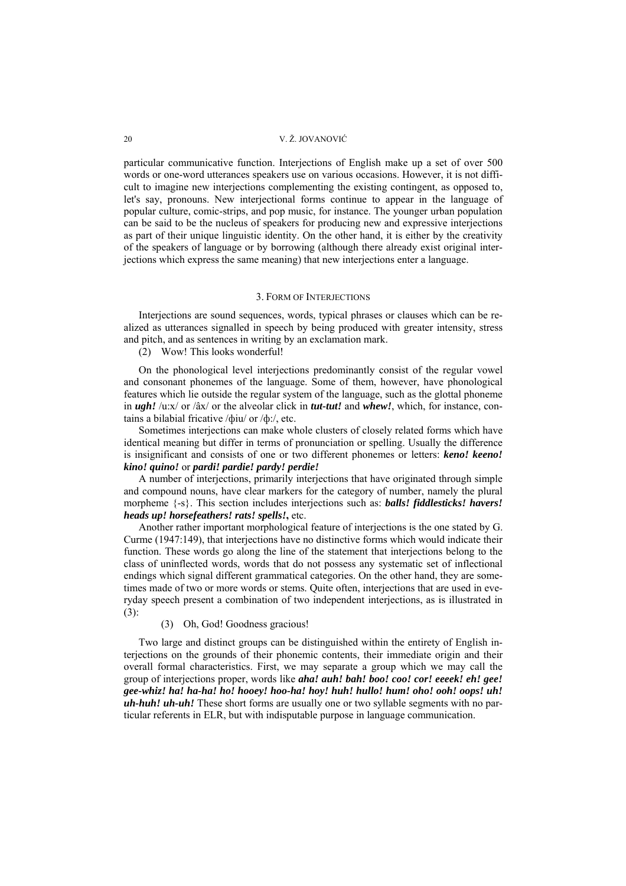particular communicative function. Interjections of English make up a set of over 500 words or one-word utterances speakers use on various occasions. However, it is not difficult to imagine new interjections complementing the existing contingent, as opposed to, let's say, pronouns. New interjectional forms continue to appear in the language of popular culture, comic-strips, and pop music, for instance. The younger urban population can be said to be the nucleus of speakers for producing new and expressive interjections as part of their unique linguistic identity. On the other hand, it is either by the creativity of the speakers of language or by borrowing (although there already exist original interjections which express the same meaning) that new interjections enter a language.

#### 3. FORM OF INTERJECTIONS

Interjections are sound sequences, words, typical phrases or clauses which can be realized as utterances signalled in speech by being produced with greater intensity, stress and pitch, and as sentences in writing by an exclamation mark.

(2) Wow! This looks wonderful!

On the phonological level interjections predominantly consist of the regular vowel and consonant phonemes of the language. Some of them, however, have phonological features which lie outside the regular system of the language, such as the glottal phoneme in *ugh!* /u:x/ or /âx/ or the alveolar click in *tut-tut!* and *whew!*, which, for instance, contains a bilabial fricative /фiu/ or /ф:/, etc.

Sometimes interjections can make whole clusters of closely related forms which have identical meaning but differ in terms of pronunciation or spelling. Usually the difference is insignificant and consists of one or two different phonemes or letters: *keno! keeno! kino! quino!* or *pardi! pardie! pardy! perdie!*

A number of interjections, primarily interjections that have originated through simple and compound nouns, have clear markers for the category of number, namely the plural morpheme {-s}. This section includes interjections such as: *balls! fiddlesticks! havers! heads up! horsefeathers! rats! spells!***,** etc.

Another rather important morphological feature of interjections is the one stated by G. Curme (1947:149), that interjections have no distinctive forms which would indicate their function. These words go along the line of the statement that interjections belong to the class of uninflected words, words that do not possess any systematic set of inflectional endings which signal different grammatical categories. On the other hand, they are sometimes made of two or more words or stems. Quite often, interjections that are used in everyday speech present a combination of two independent interjections, as is illustrated in (3):

### (3) Oh, God! Goodness gracious!

Two large and distinct groups can be distinguished within the entirety of English interjections on the grounds of their phonemic contents, their immediate origin and their overall formal characteristics. First, we may separate a group which we may call the group of interjections proper, words like *aha! auh! bah! boo! coo! cor! eeeek! eh! gee! gee-whiz! ha! ha-ha! ho! hooey! hoo-ha! hoy! huh! hullo! hum! oho! ooh! oops! uh! uh-huh! uh-uh!* These short forms are usually one or two syllable segments with no particular referents in ELR, but with indisputable purpose in language communication.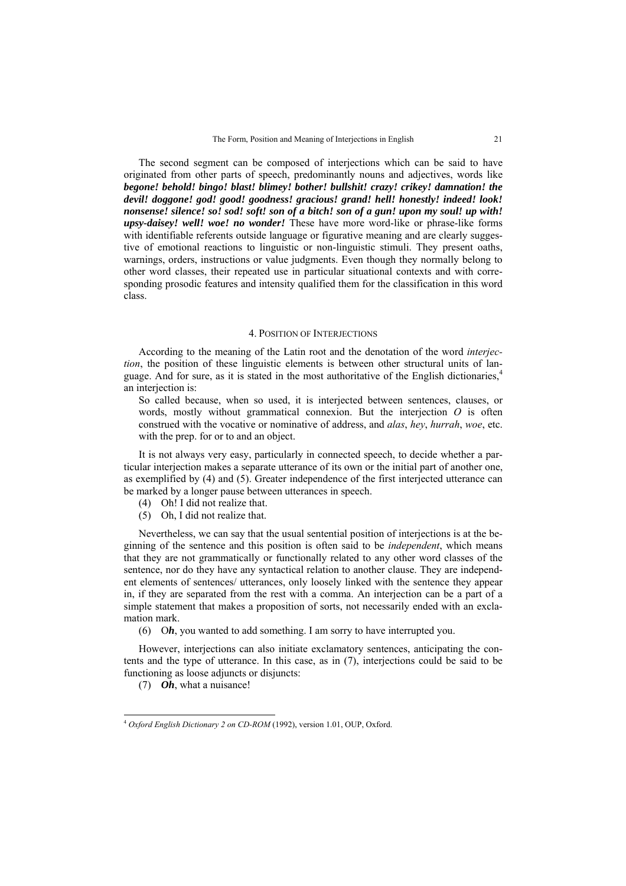The second segment can be composed of interjections which can be said to have originated from other parts of speech, predominantly nouns and adjectives, words like *begone! behold! bingo! blast! blimey! bother! bullshit! crazy! crikey! damnation! the devil! doggone! god! good! goodness! gracious! grand! hell! honestly! indeed! look! nonsense! silence! so! sod! soft! son of a bitch! son of a gun! upon my soul! up with! upsy-daisey! well! woe! no wonder!* These have more word-like or phrase-like forms with identifiable referents outside language or figurative meaning and are clearly suggestive of emotional reactions to linguistic or non-linguistic stimuli. They present oaths, warnings, orders, instructions or value judgments. Even though they normally belong to other word classes, their repeated use in particular situational contexts and with corresponding prosodic features and intensity qualified them for the classification in this word class.

#### 4. POSITION OF INTERJECTIONS

According to the meaning of the Latin root and the denotation of the word *interjection*, the position of these linguistic elements is between other structural units of language. And for sure, as it is stated in the most authoritative of the English dictionaries,<sup>4</sup> an interjection is:

So called because, when so used, it is interjected between sentences, clauses, or words, mostly without grammatical connexion. But the interjection *O* is often construed with the vocative or nominative of address, and *alas*, *hey*, *hurrah*, *woe*, etc. with the prep. for or to and an object.

It is not always very easy, particularly in connected speech, to decide whether a particular interjection makes a separate utterance of its own or the initial part of another one, as exemplified by (4) and (5). Greater independence of the first interjected utterance can be marked by a longer pause between utterances in speech.

- (4) Oh! I did not realize that.
- (5) Oh, I did not realize that.

Nevertheless, we can say that the usual sentential position of interjections is at the beginning of the sentence and this position is often said to be *independent*, which means that they are not grammatically or functionally related to any other word classes of the sentence, nor do they have any syntactical relation to another clause. They are independent elements of sentences/ utterances, only loosely linked with the sentence they appear in, if they are separated from the rest with a comma. An interjection can be a part of a simple statement that makes a proposition of sorts, not necessarily ended with an exclamation mark.

(6) O*h*, you wanted to add something. I am sorry to have interrupted you.

However, interjections can also initiate exclamatory sentences, anticipating the contents and the type of utterance. In this case, as in (7), interjections could be said to be functioning as loose adjuncts or disjuncts:

(7) *Oh*, what a nuisance!

<sup>4</sup> *Oxford English Dictionary 2 on CD-ROM* (1992), version 1.01, OUP, Oxford.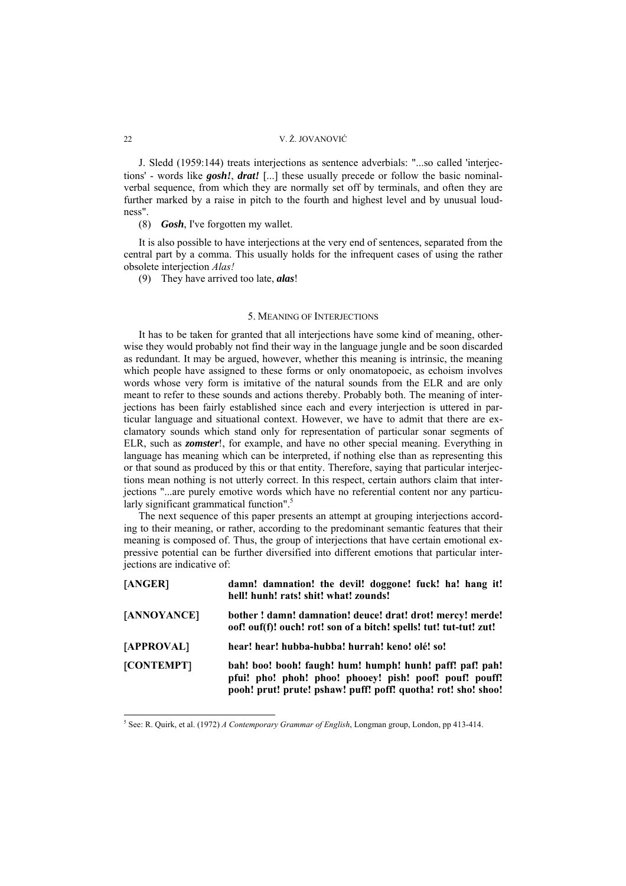J. Sledd (1959:144) treats interjections as sentence adverbials: "...so called 'interjections' - words like *gosh!*, *drat!* [...] these usually precede or follow the basic nominalverbal sequence, from which they are normally set off by terminals, and often they are further marked by a raise in pitch to the fourth and highest level and by unusual loudness".

(8) *Gosh*, I've forgotten my wallet.

It is also possible to have interjections at the very end of sentences, separated from the central part by a comma. This usually holds for the infrequent cases of using the rather obsolete interjection *Alas!*

(9) They have arrived too late, *alas*!

## 5. MEANING OF INTERJECTIONS

It has to be taken for granted that all interjections have some kind of meaning, otherwise they would probably not find their way in the language jungle and be soon discarded as redundant. It may be argued, however, whether this meaning is intrinsic, the meaning which people have assigned to these forms or only onomatopoeic, as echoism involves words whose very form is imitative of the natural sounds from the ELR and are only meant to refer to these sounds and actions thereby. Probably both. The meaning of interjections has been fairly established since each and every interjection is uttered in particular language and situational context. However, we have to admit that there are exclamatory sounds which stand only for representation of particular sonar segments of ELR, such as *zomster*!, for example, and have no other special meaning. Everything in language has meaning which can be interpreted, if nothing else than as representing this or that sound as produced by this or that entity. Therefore, saying that particular interjections mean nothing is not utterly correct. In this respect, certain authors claim that interjections "...are purely emotive words which have no referential content nor any particularly significant grammatical function".<sup>5</sup>

The next sequence of this paper presents an attempt at grouping interjections according to their meaning, or rather, according to the predominant semantic features that their meaning is composed of. Thus, the group of interjections that have certain emotional expressive potential can be further diversified into different emotions that particular interjections are indicative of:

| [ANGER]           | damn! damnation! the devil! doggone! fuck! ha! hang it!<br>hell! hunh! rats! shit! what! zounds!                                                                                     |
|-------------------|--------------------------------------------------------------------------------------------------------------------------------------------------------------------------------------|
| [ANNOYANCE]       | bother! damn! damnation! deuce! drat! drot! mercy! merde!<br>oof! ouf(f)! ouch! rot! son of a bitch! spells! tut! tut-tut! zut!                                                      |
| <b>[APPROVAL]</b> | hear! hear! hubba-hubba! hurrah! keno! olé! so!                                                                                                                                      |
| <b>[CONTEMPT]</b> | bah! boo! booh! faugh! hum! humph! hunh! paff! paf! pah!<br>pfui! pho! phoh! phoo! phooey! pish! poof! pouf! pouff!<br>pooh! prut! prute! pshaw! puff! poff! quotha! rot! sho! shoo! |

<sup>5</sup> See: R. Quirk, et al. (1972) *A Contemporary Grammar of English*, Longman group, London, pp 413-414.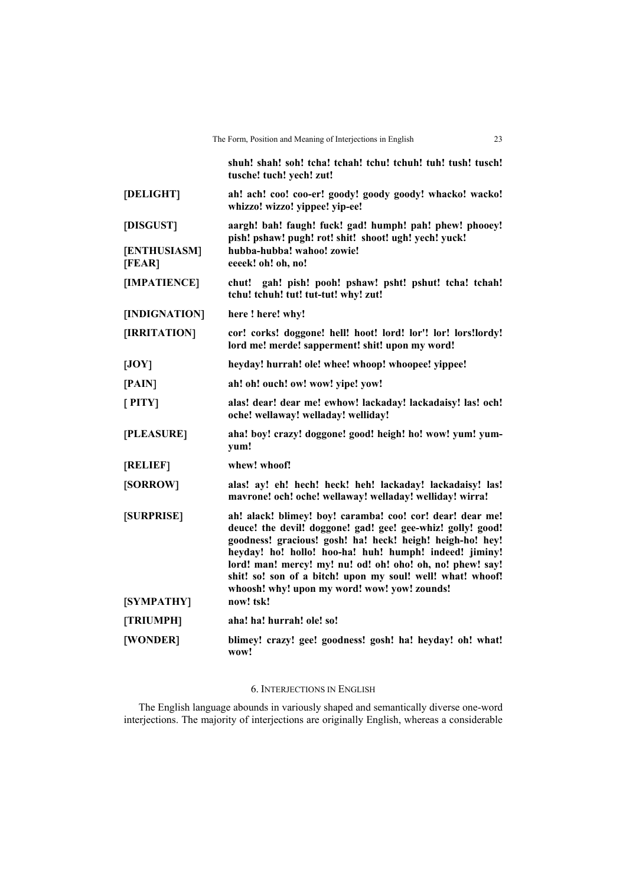|                        | shuh! shah! soh! tcha! tchah! tchu! tchuh! tuh! tush! tusch!<br>tusche! tuch! yech! zut!                                                                                                                                                                                                                                                                                                                                   |
|------------------------|----------------------------------------------------------------------------------------------------------------------------------------------------------------------------------------------------------------------------------------------------------------------------------------------------------------------------------------------------------------------------------------------------------------------------|
| [DELIGHT]              | ah! ach! coo! coo-er! goody! goody goody! whacko! wacko!<br>whizzo! wizzo! yippee! yip-ee!                                                                                                                                                                                                                                                                                                                                 |
| [DISGUST]              | aargh! bah! faugh! fuck! gad! humph! pah! phew! phooey!<br>pish! pshaw! pugh! rot! shit! shoot! ugh! yech! yuck!                                                                                                                                                                                                                                                                                                           |
| [ENTHUSIASM]<br>[FEAR] | hubba-hubba! wahoo! zowie!<br>eeeek! oh! oh, no!                                                                                                                                                                                                                                                                                                                                                                           |
| [IMPATIENCE]           | chut! gah! pish! pooh! pshaw! psht! pshut! tcha! tchah!<br>tchu! tchuh! tut! tut-tut! why! zut!                                                                                                                                                                                                                                                                                                                            |
| [INDIGNATION]          | here! here! why!                                                                                                                                                                                                                                                                                                                                                                                                           |
| [IRRITATION]           | cor! corks! doggone! hell! hoot! lord! lor! lor! lors!lordy!<br>lord me! merde! sapperment! shit! upon my word!                                                                                                                                                                                                                                                                                                            |
| [JOY]                  | heyday! hurrah! ole! whee! whoop! whoopee! yippee!                                                                                                                                                                                                                                                                                                                                                                         |
| [PAIN]                 | ah! oh! ouch! ow! wow! yipe! yow!                                                                                                                                                                                                                                                                                                                                                                                          |
| [PITY]                 | alas! dear! dear me! ewhow! lackaday! lackadaisy! las! och!<br>oche! wellaway! welladay! welliday!                                                                                                                                                                                                                                                                                                                         |
| [PLEASURE]             | aha! boy! crazy! doggone! good! heigh! ho! wow! yum! yum-<br>yum!                                                                                                                                                                                                                                                                                                                                                          |
| [RELIEF]               | whew! whoof!                                                                                                                                                                                                                                                                                                                                                                                                               |
| [SORROW]               | alas! ay! eh! hech! heck! heh! lackaday! lackadaisy! las!<br>mavrone! och! oche! wellaway! welladay! welliday! wirra!                                                                                                                                                                                                                                                                                                      |
| [SURPRISE]             | ah! alack! blimey! boy! caramba! coo! cor! dear! dear me!<br>deuce! the devil! doggone! gad! gee! gee-whiz! golly! good!<br>goodness! gracious! gosh! ha! heck! heigh! heigh-ho! hey!<br>heyday! ho! hollo! hoo-ha! huh! humph! indeed! jiminy!<br>lord! man! mercy! my! nu! od! oh! oho! oh, no! phew! say!<br>shit! so! son of a bitch! upon my soul! well! what! whoof!<br>whoosh! why! upon my word! wow! yow! zounds! |
| <b>[SYMPATHY]</b>      | now! tsk!                                                                                                                                                                                                                                                                                                                                                                                                                  |
| [TRIUMPH]              | aha! ha! hurrah! ole! so!                                                                                                                                                                                                                                                                                                                                                                                                  |
| [WONDER]               | blimey! crazy! gee! goodness! gosh! ha! heyday! oh! what!<br>wow!                                                                                                                                                                                                                                                                                                                                                          |

# 6. INTERJECTIONS IN ENGLISH

The English language abounds in variously shaped and semantically diverse one-word interjections. The majority of interjections are originally English, whereas a considerable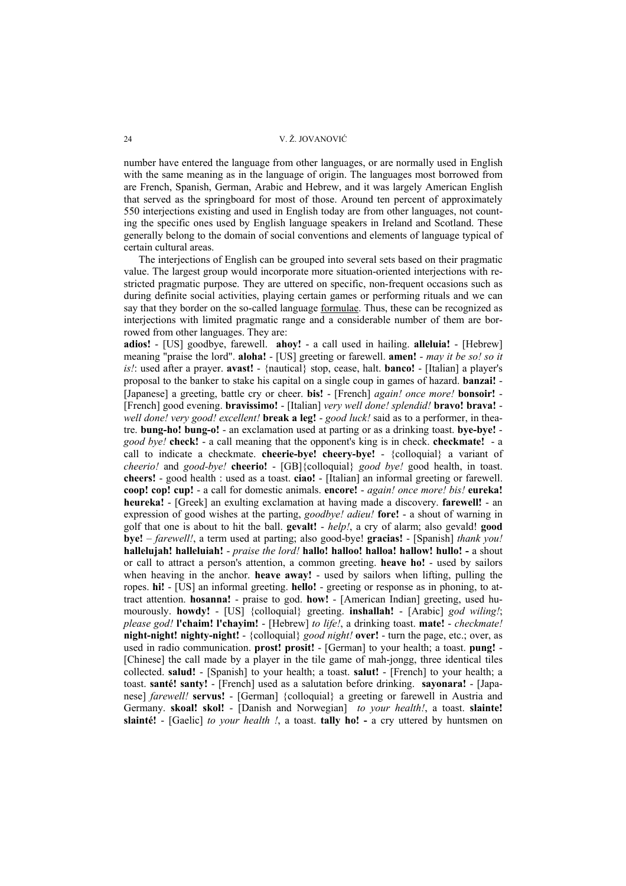number have entered the language from other languages, or are normally used in English with the same meaning as in the language of origin. The languages most borrowed from are French, Spanish, German, Arabic and Hebrew, and it was largely American English that served as the springboard for most of those. Around ten percent of approximately 550 interjections existing and used in English today are from other languages, not counting the specific ones used by English language speakers in Ireland and Scotland. These generally belong to the domain of social conventions and elements of language typical of certain cultural areas.

The interjections of English can be grouped into several sets based on their pragmatic value. The largest group would incorporate more situation-oriented interjections with restricted pragmatic purpose. They are uttered on specific, non-frequent occasions such as during definite social activities, playing certain games or performing rituals and we can say that they border on the so-called language formulae. Thus, these can be recognized as interjections with limited pragmatic range and a considerable number of them are borrowed from other languages. They are:

**adios!** - [US] goodbye, farewell. **ahoy!** - a call used in hailing. **alleluia!** - [Hebrew] meaning "praise the lord". **aloha!** - [US] greeting or farewell. **amen!** - *may it be so! so it is!*: used after a prayer. **avast!** - {nautical} stop, cease, halt. **banco!** - [Italian] a player's proposal to the banker to stake his capital on a single coup in games of hazard. **banzai!** - [Japanese] a greeting, battle cry or cheer. **bis!** - [French] *again! once more!* **bonsoir!** - [French] good evening. **bravissimo!** - [Italian] *very well done! splendid!* **bravo! brava!**  *well done! very good! excellent!* **break a leg!** - *good luck!* said as to a performer, in theatre. **bung-ho! bung-o!** - an exclamation used at parting or as a drinking toast. **bye-bye!** *good bye!* **check!** - a call meaning that the opponent's king is in check. **checkmate!** - a call to indicate a checkmate. **cheerie-bye! cheery-bye!** - {colloquial} a variant of *cheerio!* and *good-bye!* **cheerio!** - [GB]{colloquial} *good bye!* good health, in toast. **cheers!** - good health : used as a toast. **ciao!** - [Italian] an informal greeting or farewell. **coop! cop! cup!** - a call for domestic animals. **encore!** - *again! once more! bis!* **eureka! heureka!** - [Greek] an exulting exclamation at having made a discovery. **farewell!** - an expression of good wishes at the parting, *goodbye! adieu!* **fore!** - a shout of warning in golf that one is about to hit the ball. **gevalt!** - *help!*, a cry of alarm; also gevald! **good bye!** – *farewell!*, a term used at parting; also good-bye! **gracias!** - [Spanish] *thank you!*  **hallelujah! halleluiah!** - *praise the lord!* **hallo! halloo! halloa! hallow! hullo! -** a shout or call to attract a person's attention, a common greeting. **heave ho!** - used by sailors when heaving in the anchor. **heave away!** - used by sailors when lifting, pulling the ropes. **hi!** - [US] an informal greeting. **hello!** - greeting or response as in phoning, to attract attention. **hosanna!** - praise to god. **how!** - [American Indian] greeting, used humourously. **howdy!** - [US] {colloquial} greeting. **inshallah!** - [Arabic] *god wiling!*; *please god!* **l'chaim! l'chayim!** - [Hebrew] *to life!*, a drinking toast. **mate!** - *checkmate!*  **night-night! nighty-night!** - {colloquial} *good night!* **over!** - turn the page, etc.; over, as used in radio communication. **prost! prosit!** - [German] to your health; a toast. **pung!** - [Chinese] the call made by a player in the tile game of mah-jongg, three identical tiles collected. **salud!** - [Spanish] to your health; a toast. **salut!** - [French] to your health; a toast. **santé! santy!** - [French] used as a salutation before drinking. **sayonara!** - [Japanese] *farewell!* **servus!** - [German] {colloquial} a greeting or farewell in Austria and Germany. **skoal! skol!** - [Danish and Norwegian] *to your health!*, a toast. **slainte! slainté!** - [Gaelic] *to your health !*, a toast. **tally ho! -** a cry uttered by huntsmen on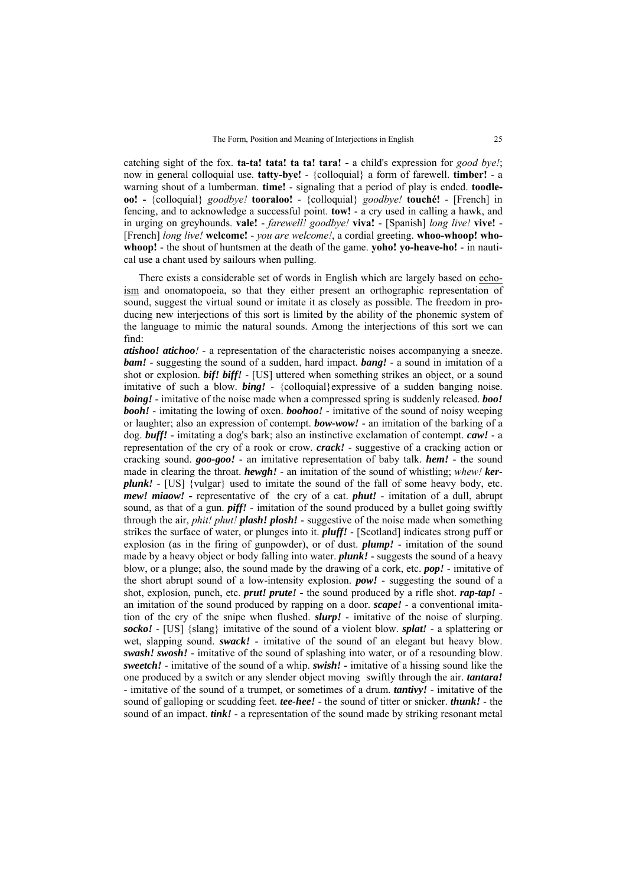catching sight of the fox. **ta-ta! tata! ta ta! tara! -** a child's expression for *good bye!*; now in general colloquial use. **tatty-bye!** - {colloquial} a form of farewell. **timber!** - a warning shout of a lumberman. **time!** - signaling that a period of play is ended. **toodleoo! -** {colloquial} *goodbye!* **tooraloo!** - {colloquial} *goodbye!* **touché!** - [French] in fencing, and to acknowledge a successful point. **tow!** - a cry used in calling a hawk, and in urging on greyhounds. **vale!** - *farewell! goodbye!* **viva!** - [Spanish] *long live!* **vive!** - [French] *long live!* **welcome!** - *you are welcome!*, a cordial greeting. **whoo-whoop! whowhoop!** - the shout of huntsmen at the death of the game. **yoho! yo-heave-ho!** - in nautical use a chant used by sailours when pulling.

There exists a considerable set of words in English which are largely based on echoism and onomatopoeia, so that they either present an orthographic representation of sound, suggest the virtual sound or imitate it as closely as possible. The freedom in producing new interjections of this sort is limited by the ability of the phonemic system of the language to mimic the natural sounds. Among the interjections of this sort we can find:

*atishoo! atichoo!* - a representation of the characteristic noises accompanying a sneeze. *bam!* - suggesting the sound of a sudden, hard impact. *bang!* - a sound in imitation of a shot or explosion. *bif! biff!* - [US] uttered when something strikes an object, or a sound imitative of such a blow. *bing!* - {colloquial}expressive of a sudden banging noise. *boing!* - imitative of the noise made when a compressed spring is suddenly released. *boo! booh!* - imitating the lowing of oxen. *boohoo!* - imitative of the sound of noisy weeping or laughter; also an expression of contempt. *bow-wow!* - an imitation of the barking of a dog. *buff!* - imitating a dog's bark; also an instinctive exclamation of contempt. *caw!* - a representation of the cry of a rook or crow. *crack!* - suggestive of a cracking action or cracking sound. *goo-goo!* - an imitative representation of baby talk. *hem!* - the sound made in clearing the throat. *hewgh!* - an imitation of the sound of whistling; *whew! kerplunk!* - [US] {vulgar} used to imitate the sound of the fall of some heavy body, etc. *mew! miaow!* - representative of the cry of a cat. *phut!* - imitation of a dull, abrupt sound, as that of a gun. *piff!* - imitation of the sound produced by a bullet going swiftly through the air, *phit! phut! plash! plosh!* - suggestive of the noise made when something strikes the surface of water, or plunges into it. *pluff!* - [Scotland] indicates strong puff or explosion (as in the firing of gunpowder), or of dust. *plump!* - imitation of the sound made by a heavy object or body falling into water. *plunk!* - suggests the sound of a heavy blow, or a plunge; also, the sound made by the drawing of a cork, etc. *pop!* - imitative of the short abrupt sound of a low-intensity explosion. *pow!* - suggesting the sound of a shot, explosion, punch, etc. *prut! prute!* **-** the sound produced by a rifle shot. *rap-tap!* an imitation of the sound produced by rapping on a door. *scape!* - a conventional imitation of the cry of the snipe when flushed. *slurp!* - imitative of the noise of slurping. *socko!* - [US] {slang} imitative of the sound of a violent blow. *splat!* - a splattering or wet, slapping sound. *swack!* - imitative of the sound of an elegant but heavy blow. *swash! swosh!* - imitative of the sound of splashing into water, or of a resounding blow. *sweetch!* - imitative of the sound of a whip. *swish!* **-** imitative of a hissing sound like the one produced by a switch or any slender object moving swiftly through the air. *tantara!* - imitative of the sound of a trumpet, or sometimes of a drum. *tantivy!* - imitative of the sound of galloping or scudding feet. *tee-hee!* - the sound of titter or snicker. *thunk!* - the sound of an impact. *tink!* - a representation of the sound made by striking resonant metal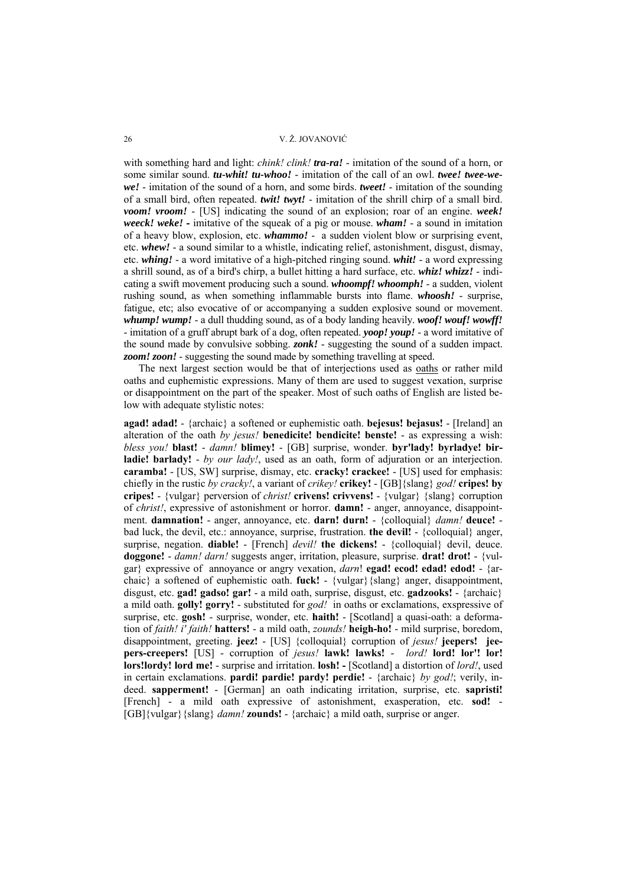with something hard and light: *chink! clink! tra-ra!* - imitation of the sound of a horn, or some similar sound. *tu-whit! tu-whoo!* - imitation of the call of an owl. *twee! twee-wewe!* - imitation of the sound of a horn, and some birds. *tweet!* - imitation of the sounding of a small bird, often repeated. *twit! twyt!* - imitation of the shrill chirp of a small bird. *voom! vroom!* - [US] indicating the sound of an explosion; roar of an engine. *week! weeck! weke!* - imitative of the squeak of a pig or mouse. *wham!* - a sound in imitation of a heavy blow, explosion, etc. *whammo!* - a sudden violent blow or surprising event, etc. *whew!* - a sound similar to a whistle, indicating relief, astonishment, disgust, dismay, etc. *whing!* - a word imitative of a high-pitched ringing sound. *whit!* - a word expressing a shrill sound, as of a bird's chirp, a bullet hitting a hard surface, etc. *whiz! whizz!* - indicating a swift movement producing such a sound. *whoompf! whoomph!* - a sudden, violent rushing sound, as when something inflammable bursts into flame. *whoosh!* - surprise, fatigue, etc; also evocative of or accompanying a sudden explosive sound or movement. *whump! wump!* - a dull thudding sound, as of a body landing heavily. *woof! wouf! wowff!* - imitation of a gruff abrupt bark of a dog, often repeated. *yoop! youp!* - a word imitative of the sound made by convulsive sobbing. *zonk!* - suggesting the sound of a sudden impact. *zoom! zoon!* - suggesting the sound made by something travelling at speed.

The next largest section would be that of interjections used as oaths or rather mild oaths and euphemistic expressions. Many of them are used to suggest vexation, surprise or disappointment on the part of the speaker. Most of such oaths of English are listed below with adequate stylistic notes:

**agad! adad!** - {archaic} a softened or euphemistic oath. **bejesus! bejasus!** - [Ireland] an alteration of the oath *by jesus!* **benedicite! bendicite! benste!** - as expressing a wish: *bless you!* **blast!** - *damn!* **blimey!** - [GB] surprise, wonder. **byr'lady! byrladye! birladie! barlady!** *- by our lady!*, used as an oath, form of adjuration or an interjection. **caramba!** - [US, SW] surprise, dismay, etc. **cracky! crackee!** - [US] used for emphasis: chiefly in the rustic *by cracky!*, a variant of *crikey!* **crikey!** - [GB]{slang} *god!* **cripes! by cripes!** - {vulgar} perversion of *christ!* **crivens! crivvens!** - {vulgar} {slang} corruption of *christ!*, expressive of astonishment or horror. **damn!** - anger, annoyance, disappointment. **damnation!** - anger, annoyance, etc. **darn! durn!** - {colloquial} *damn!* **deuce!** bad luck, the devil, etc.: annoyance, surprise, frustration. **the devil!** - {colloquial} anger, surprise, negation. **diable!** - [French] *devil!* **the dickens!** - {colloquial} devil, deuce. **doggone!** - *damn! darn!* suggests anger, irritation, pleasure, surprise. **drat! drot!** - {vulgar} expressive of annoyance or angry vexation, *darn*! **egad! ecod! edad! edod!** - {archaic} a softened of euphemistic oath. **fuck!** - {vulgar}{slang} anger, disappointment, disgust, etc. **gad! gadso! gar!** - a mild oath, surprise, disgust, etc. **gadzooks!** - {archaic} a mild oath. **golly! gorry!** - substituted for *god!* in oaths or exclamations, exspressive of surprise, etc. **gosh!** - surprise, wonder, etc. **haith!** - [Scotland] a quasi-oath: a deformation of *faith! i' faith!* **hatters!** - a mild oath, *zounds!* **heigh-ho!** - mild surprise, boredom, disappointment, greeting. **jeez!** - [US] {colloquial} corruption of *jesus!* **jeepers! jeepers-creepers!** [US] - corruption of *jesus!* **lawk! lawks!** - *lord!* **lord! lor'! lor! lors!lordy! lord me!** - surprise and irritation. **losh! -** [Scotland] a distortion of *lord!*, used in certain exclamations. **pardi! pardie! pardy! perdie!** - {archaic} *by god!*; verily, indeed. **sapperment!** - [German] an oath indicating irritation, surprise, etc. **sapristi!** [French] - a mild oath expressive of astonishment, exasperation, etc. **sod!** - [GB]{vulgar}{slang} *damn!* **zounds!** - {archaic} a mild oath, surprise or anger.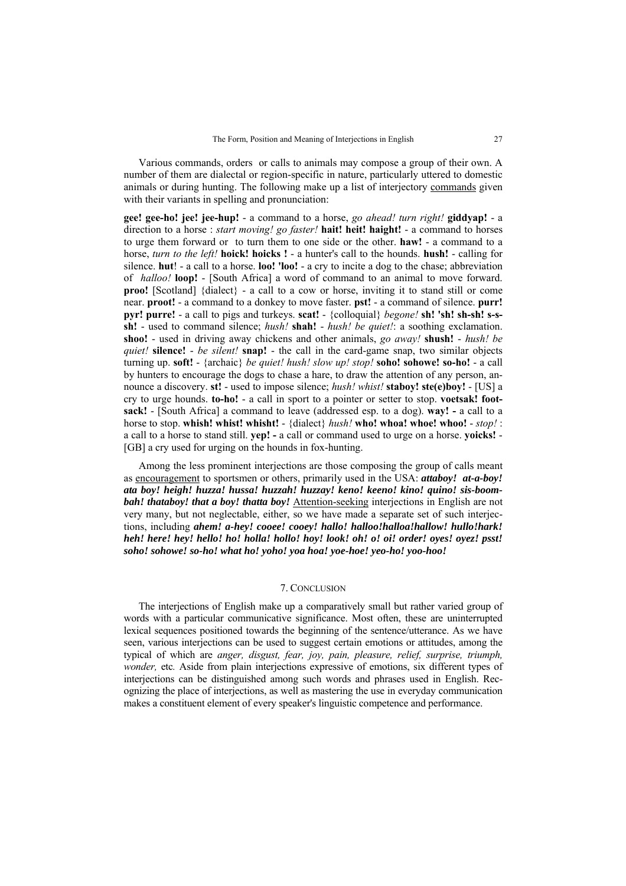Various commands, orders or calls to animals may compose a group of their own. A number of them are dialectal or region-specific in nature, particularly uttered to domestic animals or during hunting. The following make up a list of interjectory commands given with their variants in spelling and pronunciation:

**gee! gee-ho! jee! jee-hup!** - a command to a horse, *go ahead! turn right!* **giddyap!** - a direction to a horse : *start moving! go faster!* **hait! heit! haight!** - a command to horses to urge them forward or to turn them to one side or the other. **haw!** - a command to a horse, *turn to the left!* **hoick! hoicks !** - a hunter's call to the hounds. **hush!** - calling for silence. **hut**! - a call to a horse. **loo! 'loo!** - a cry to incite a dog to the chase; abbreviation of *halloo!* **loop!** - [South Africa] a word of command to an animal to move forward. **proo!** [Scotland] {dialect} - a call to a cow or horse, inviting it to stand still or come near. **proot!** - a command to a donkey to move faster. **pst!** - a command of silence. **purr! pyr! purre!** - a call to pigs and turkeys. **scat!** - {colloquial} *begone!* **sh! 'sh! sh-sh! s-ssh!** - used to command silence; *hush!* **shah!** - *hush! be quiet!*: a soothing exclamation. **shoo!** - used in driving away chickens and other animals, *go away!* **shush!** - *hush! be quiet!* **silence!** - *be silent!* **snap!** - the call in the card-game snap, two similar objects turning up. **soft!** - {archaic} *be quiet! hush! slow up! stop!* **soho! sohowe! so-ho!** - a call by hunters to encourage the dogs to chase a hare, to draw the attention of any person, announce a discovery. **st!** - used to impose silence; *hush! whist!* **staboy! ste(e)boy!** - [US] a cry to urge hounds. **to-ho!** - a call in sport to a pointer or setter to stop. **voetsak! footsack!** - [South Africa] a command to leave (addressed esp. to a dog). **way! -** a call to a horse to stop. **whish! whist! whisht!** - {dialect} *hush!* **who! whoa! whoe! whoo!** - *stop!* : a call to a horse to stand still. **yep! -** a call or command used to urge on a horse. **yoicks!** - [GB] a cry used for urging on the hounds in fox-hunting.

Among the less prominent interjections are those composing the group of calls meant as encouragement to sportsmen or others, primarily used in the USA: *attaboy! at-a-boy! ata boy! heigh! huzza! hussa! huzzah! huzzay! keno! keeno! kino! quino! sis-boombah! thataboy! that a boy! thatta boy!* Attention-seeking interjections in English are not very many, but not neglectable, either, so we have made a separate set of such interjections, including *ahem! a-hey! cooee! cooey! hallo! halloo!halloa!hallow! hullo!hark! heh! here! hey! hello! ho! holla! hollo! hoy! look! oh! o! oi! order! oyes! oyez! psst! soho! sohowe! so-ho! what ho! yoho! yoa hoa! yoe-hoe! yeo-ho! yoo-hoo!* 

# 7. CONCLUSION

The interjections of English make up a comparatively small but rather varied group of words with a particular communicative significance. Most often, these are uninterrupted lexical sequences positioned towards the beginning of the sentence/utterance. As we have seen, various interjections can be used to suggest certain emotions or attitudes, among the typical of which are *anger, disgust, fear, joy, pain, pleasure, relief, surprise, triumph, wonder*, etc. Aside from plain interjections expressive of emotions, six different types of interjections can be distinguished among such words and phrases used in English. Recognizing the place of interjections, as well as mastering the use in everyday communication makes a constituent element of every speaker's linguistic competence and performance.